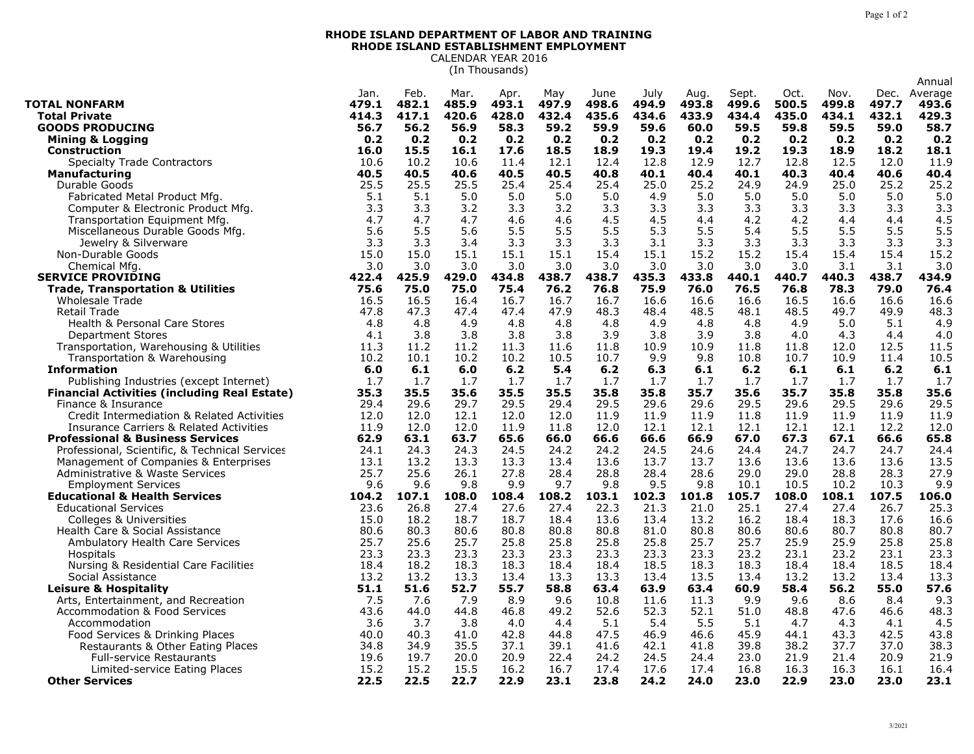## **RHODE ISLAND DEPARTMENT OF LABOR AND TRAINING RHODE ISLAND ESTABLISHMENT EMPLOYMENT** CALENDAR YEAR 2016

(In Thousands)

|                                                     |              |             |             |              |              |              |             |             |              |              |            |             | Annual       |
|-----------------------------------------------------|--------------|-------------|-------------|--------------|--------------|--------------|-------------|-------------|--------------|--------------|------------|-------------|--------------|
|                                                     | Jan.         | Feb.        | Mar.        | Apr.         | May          | June         | July        | Aug.        | Sept.        | Oct.         | Nov.       | Dec.        | Average      |
| <b>TOTAL NONFARM</b>                                | 479.1        | 482.1       | 485.9       | 493.1        | 497.9        | 498.6        | 494.9       | 493.8       | 499.6        | 500.5        | 499.8      | 497.7       | 493.6        |
| <b>Total Private</b>                                | 414.3        | 417.1       | 420.6       | 428.0        | 432.4        | 435.6        | 434.6       | 433.9       | 434.4        | 435.0        | 434.1      | 432.1       | 429.3        |
| <b>GOODS PRODUCING</b>                              | 56.7         | 56.2        | 56.9        | 58.3         | 59.2         | 59.9         | 59.6        | 60.0        | 59.5         | 59.8         | 59.5       | 59.0        | 58.7         |
| Mining & Logging                                    | 0.2          | 0.2         | 0.2         | 0.2          | 0.2          | 0.2          | 0.2         | 0.2         | 0.2          | 0.2          | 0.2        | 0.2         | 0.2          |
| <b>Construction</b>                                 | 16.0         | 15.5        | 16.1        | 17.6         | 18.5         | 18.9         | 19.3        | 19.4        | 19.2         | 19.3         | 18.9       | 18.2        | 18.1         |
| <b>Specialty Trade Contractors</b>                  | 10.6         | 10.2        | 10.6        | 11.4         | 12.1         | 12.4         | 12.8        | 12.9        | 12.7         | 12.8         | 12.5       | 12.0        | 11.9         |
| <b>Manufacturing</b>                                | 40.5         | 40.5        | 40.6        | 40.5         | 40.5         | 40.8         | 40.1        | 40.4        | 40.1         | 40.3         | 40.4       | 40.6        | 40.4         |
| Durable Goods                                       | 25.5         | 25.5        | 25.5        | 25.4         | 25.4         | 25.4         | 25.0        | 25.2        | 24.9         | 24.9         | 25.0       | 25.2        | 25.2         |
| Fabricated Metal Product Mfg.                       | 5.1          | 5.1         | 5.0         | 5.0          | 5.0          | 5.0          | 4.9         | 5.0         | 5.0          | 5.0          | 5.0        | 5.0         | 5.0          |
| Computer & Electronic Product Mfg.                  | 3.3          | 3.3         | 3.2         | 3.3          | 3.2          | 3.3          | 3.3         | 3.3         | 3.3          | 3.3          | 3.3        | 3.3         | 3.3          |
| Transportation Equipment Mfg.                       | 4.7          | 4.7         | 4.7         | 4.6          | 4.6          | 4.5          | 4.5         | 4.4         | 4.2          | 4.2          | 4.4        | 4.4         | 4.5          |
| Miscellaneous Durable Goods Mfg.                    | 5.6          | 5.5         | 5.6         | 5.5          | 5.5          | 5.5          | 5.3         | 5.5         | 5.4          | 5.5          | 5.5        | 5.5         | 5.5          |
| Jewelry & Silverware                                | 3.3          | 3.3         | 3.4         | 3.3          | 3.3          | 3.3          | 3.1         | 3.3         | 3.3          | 3.3          | 3.3        | 3.3         | 3.3          |
| Non-Durable Goods                                   | 15.0         | 15.0        | 15.1        | 15.1         | 15.1         | 15.4         | 15.1        | 15.2        | 15.2         | 15.4         | 15.4       | 15.4        | 15.2         |
| Chemical Mfg                                        | 3.0          | 3.0         | 3.0         | 3.0          | 3.0          | 3.0          | 3.0         | 3.0         | 3.0          | 3.0          | 3.1        | 3.1         | 3.0          |
| <b>SERVICE PROVIDING</b>                            | 422.4        | 425.9       | 429.0       | 434.8        | 438.7        | 438.7        | 435.3       | 433.8       | 440.1        | 440.7        | 440.3      | 438.7       | 434.9        |
| <b>Trade, Transportation &amp; Utilities</b>        | 75.6         | 75.0        | 75.0        | 75.4         | 76.2         | 76.8         | 75.9        | 76.0        | 76.5         | 76.8         | 78.3       | 79.0        | 76.4         |
| Wholesale Trade                                     | 16.5         | 16.5        | 16.4        | 16.7         | 16.7         | 16.7         | 16.6        | 16.6        | 16.6         | 16.5         | 16.6       | 16.6        | 16.6         |
| <b>Retail Trade</b>                                 | 47.8<br>4.8  | 47.3<br>4.8 | 47.4<br>4.9 | 47.4         | 47.9         | 48.3         | 48.4        | 48.5<br>4.8 | 48.1         | 48.5         | 49.7       | 49.9<br>5.1 | 48.3         |
| <b>Health &amp; Personal Care Stores</b>            | 4.1          | 3.8         |             | 4.8<br>3.8   | 4.8<br>3.8   | 4.8<br>3.9   | 4.9<br>3.8  | 3.9         | 4.8<br>3.8   | 4.9          | 5.0<br>4.3 | 4.4         | 4.9          |
| <b>Department Stores</b>                            |              | 11.2        | 3.8<br>11.2 |              |              |              |             | 10.9        |              | 4.0          | 12.0       | 12.5        | 4.0          |
| Transportation, Warehousing & Utilities             | 11.3<br>10.2 | 10.1        | 10.2        | 11.3<br>10.2 | 11.6<br>10.5 | 11.8<br>10.7 | 10.9<br>9.9 | 9.8         | 11.8<br>10.8 | 11.8<br>10.7 | 10.9       | 11.4        | 11.5<br>10.5 |
| Transportation & Warehousing<br><b>Information</b>  | 6.0          | 6.1         | 6.0         | 6.2          | 5.4          | 6.2          | 6.3         | 6.1         | 6.2          | 6.1          | 6.1        | 6.2         | 6.1          |
| Publishing Industries (except Internet)             | 1.7          | 1.7         | 1.7         | 1.7          | 1.7          | 1.7          | 1.7         | 1.7         | 1.7          | 1.7          | 1.7        | 1.7         | 1.7          |
| <b>Financial Activities (including Real Estate)</b> | 35.3         | 35.5        | 35.6        | 35.5         | 35.5         | 35.8         | 35.8        | 35.7        | 35.6         | 35.7         | 35.8       | 35.8        | 35.6         |
| Finance & Insurance                                 | 29.4         | 29.6        | 29.7        | 29.5         | 29.4         | 29.5         | 29.6        | 29.6        | 29.5         | 29.6         | 29.5       | 29.6        | 29.5         |
| Credit Intermediation & Related Activities          | 12.0         | 12.0        | 12.1        | 12.0         | 12.0         | 11.9         | 11.9        | 11.9        | 11.8         | 11.9         | 11.9       | 11.9        | 11.9         |
| <b>Insurance Carriers &amp; Related Activities</b>  | 11.9         | 12.0        | 12.0        | 11.9         | 11.8         | 12.0         | 12.1        | 12.1        | 12.1         | 12.1         | 12.1       | 12.2        | 12.0         |
| <b>Professional &amp; Business Services</b>         | 62.9         | 63.1        | 63.7        | 65.6         | 66.0         | 66.6         | 66.6        | 66.9        | 67.0         | 67.3         | 67.1       | 66.6        | 65.8         |
| Professional, Scientific, & Technical Services      | 24.1         | 24.3        | 24.3        | 24.5         | 24.2         | 24.2         | 24.5        | 24.6        | 24.4         | 24.7         | 24.7       | 24.7        | 24.4         |
| Management of Companies & Enterprises               | 13.1         | 13.2        | 13.3        | 13.3         | 13.4         | 13.6         | 13.7        | 13.7        | 13.6         | 13.6         | 13.6       | 13.6        | 13.5         |
| Administrative & Waste Services                     | 25.7         | 25.6        | 26.1        | 27.8         | 28.4         | 28.8         | 28.4        | 28.6        | 29.0         | 29.0         | 28.8       | 28.3        | 27.9         |
| <b>Employment Services</b>                          | 9.6          | 9.6         | 9.8         | 9.9          | 9.7          | 9.8          | 9.5         | 9.8         | 10.1         | 10.5         | 10.2       | 10.3        | 9.9          |
| <b>Educational &amp; Health Services</b>            | 104.2        | 107.1       | 108.0       | 108.4        | 108.2        | 103.1        | 102.3       | 101.8       | 105.7        | 108.0        | 108.1      | 107.5       | 106.0        |
| <b>Educational Services</b>                         | 23.6         | 26.8        | 27.4        | 27.6         | 27.4         | 22.3         | 21.3        | 21.0        | 25.1         | 27.4         | 27.4       | 26.7        | 25.3         |
| <b>Colleges &amp; Universities</b>                  | 15.0         | 18.2        | 18.7        | 18.7         | 18.4         | 13.6         | 13.4        | 13.2        | 16.2         | 18.4         | 18.3       | 17.6        | 16.6         |
| Health Care & Social Assistance                     | 80.6         | 80.3        | 80.6        | 80.8         | 80.8         | 80.8         | 81.0        | 80.8        | 80.6         | 80.6         | 80.7       | 80.8        | 80.7         |
| Ambulatory Health Care Services                     | 25.7         | 25.6        | 25.7        | 25.8         | 25.8         | 25.8         | 25.8        | 25.7        | 25.7         | 25.9         | 25.9       | 25.8        | 25.8         |
| Hospitals                                           | 23.3         | 23.3        | 23.3        | 23.3         | 23.3         | 23.3         | 23.3        | 23.3        | 23.2         | 23.1         | 23.2       | 23.1        | 23.3         |
| Nursing & Residential Care Facilities               | 18.4         | 18.2        | 18.3        | 18.3         | 18.4         | 18.4         | 18.5        | 18.3        | 18.3         | 18.4         | 18.4       | 18.5        | 18.4         |
| Social Assistance                                   | 13.2         | 13.2        | 13.3        | 13.4         | 13.3         | 13.3         | 13.4        | 13.5        | 13.4         | 13.2         | 13.2       | 13.4        | 13.3         |
| <b>Leisure &amp; Hospitality</b>                    | 51.1         | 51.6        | 52.7        | 55.7         | 58.8         | 63.4         | 63.9        | 63.4        | 60.9         | 58.4         | 56.2       | 55.0        | 57.6         |
| Arts, Entertainment, and Recreation                 | 7.5          | 7.6         | 7.9         | 8.9          | 9.6          | 10.8         | 11.6        | 11.3        | 9.9          | 9.6          | 8.6        | 8.4         | 9.3          |
| <b>Accommodation &amp; Food Services</b>            | 43.6         | 44.0        | 44.8        | 46.8         | 49.2         | 52.6         | 52.3        | 52.1        | 51.0         | 48.8         | 47.6       | 46.6        | 48.3         |
| Accommodation                                       | 3.6          | 3.7         | 3.8         | 4.0          | 4.4          | 5.1          | 5.4         | 5.5         | 5.1          | 4.7          | 4.3        | 4.1         | 4.5          |
| Food Services & Drinking Places                     | 40.0         | 40.3        | 41.0        | 42.8         | 44.8         | 47.5         | 46.9        | 46.6        | 45.9         | 44.1         | 43.3       | 42.5        | 43.8         |
| Restaurants & Other Eating Places                   | 34.8         | 34.9        | 35.5        | 37.1         | 39.1         | 41.6         | 42.1        | 41.8        | 39.8         | 38.2         | 37.7       | 37.0        | 38.3         |
| <b>Full-service Restaurants</b>                     | 19.6         | 19.7        | 20.0        | 20.9         | 22.4         | 24.2         | 24.5        | 24.4        | 23.0         | 21.9         | 21.4       | 20.9        | 21.9         |
| Limited-service Eating Places                       | 15.2         | 15.2        | 15.5        | 16.2         | 16.7         | 17.4         | 17.6        | 17.4        | 16.8         | 16.3         | 16.3       | 16.1        | 16.4         |
| <b>Other Services</b>                               | 22.5         | 22.5        | 22.7        | 22.9         | 23.1         | 23.8         | 24.2        | 24.0        | 23.0         | 22.9         | 23.0       | 23.0        | 23.1         |